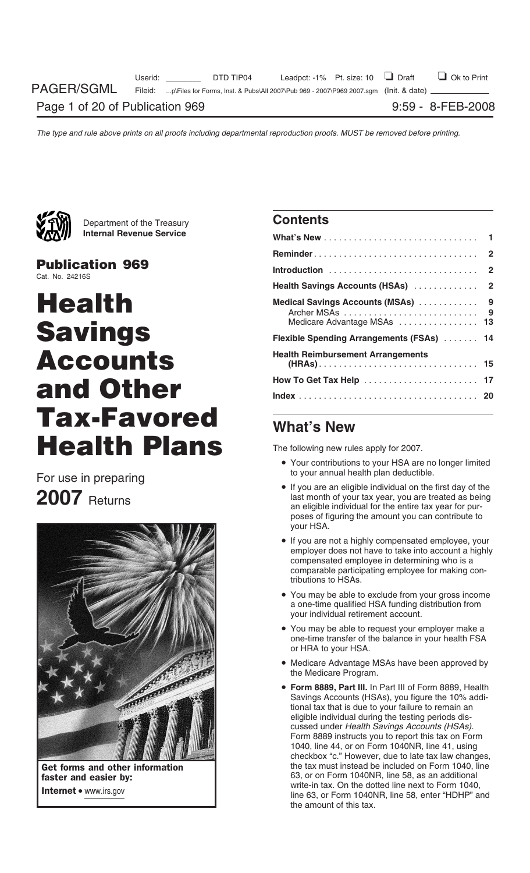

Department of the Treasury **Contents Internal Revenue Service** 

# **Publication 969**

Cat. No. 24216S

# **Health Medical Savings Accounts (MSAs)** ............ **<sup>9</sup>**  $Savings$  $Accounds$ **And Other Tax-Favored What's New Health Plans** The following new rules apply for 2007.



|                                                            | 1              |
|------------------------------------------------------------|----------------|
| <b>Reminder</b>                                            | 2              |
|                                                            | 2              |
| Health Savings Accounts (HSAs)                             | 2              |
| Medical Savings Accounts (MSAs)<br>Medicare Advantage MSAs | 9<br>- 9<br>13 |
| <b>Flexible Spending Arrangements (FSAs)</b>               | 14             |
| <b>Health Reimbursement Arrangements</b>                   | 15             |
| How To Get Tax Help                                        | 17             |
|                                                            |                |
|                                                            |                |

- Your contributions to your HSA are no longer limited
- For use in preparing<br> **POOT**<br>
Returns **POOT**<br>
Returns and the last month of your tax year, you are treated as being<br>
an eligible individual for the entire tax year for purposes of figuring the amount you can contribute to your HSA.
	- If you are not a highly compensated employee, your employer does not have to take into account a highly compensated employee in determining who is a comparable participating employee for making contributions to HSAs.
	- You may be able to exclude from your gross income a one-time qualified HSA funding distribution from your individual retirement account.
	- You may be able to request your employer make a one-time transfer of the balance in your health FSA or HRA to your HSA.
	- Medicare Advantage MSAs have been approved by the Medicare Program.
- **Form 8889, Part III.** In Part III of Form 8889, Health Savings Accounts (HSAs), you figure the 10% additional tax that is due to your failure to remain an eligible individual during the testing periods discussed under *Health Savings Accounts (HSAs).* Form 8889 instructs you to report this tax on Form 1040, line 44, or on Form 1040NR, line 41, using checkbox "c." However, due to late tax law changes, Get forms and other information the tax must instead be included on Form 1040, line<br>
faster and easier by: 63, or on Form 1040NR, line 58, as an additional **Internet •** www.irs.gov **internet • www.irs.gov internet • www.irs.gov line 53, or Form 1040NR, line 58, enter "HDHP" and line 63, or Form 1040NR, line 58, enter "HDHP" and** the amount of this tax.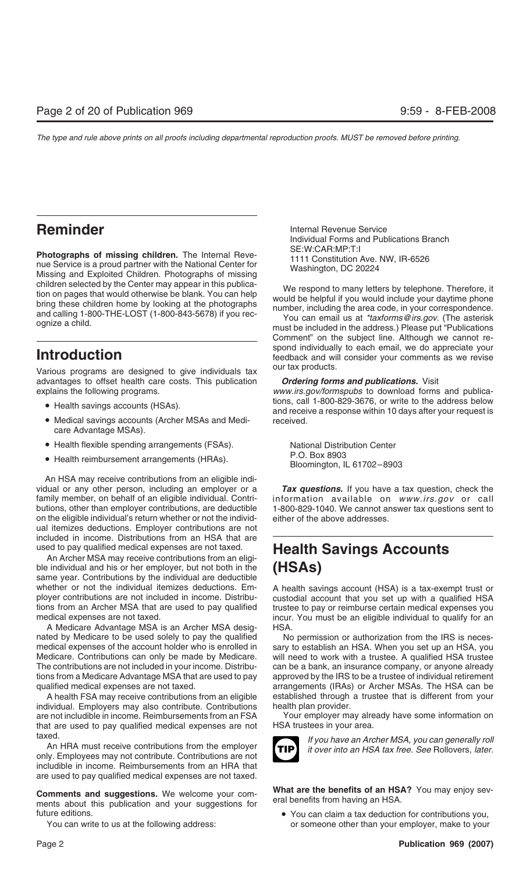**Photographs of missing children.** The Internal Reve-<br>nue Service is a proud partner with the National Center for<br>Missing and Exploited Children. Photographs of missing<br>of Mashington, DC 20224 children selected by the Center may appear in this publica-<br>tion on pages that would otherwise be blank. You can help<br>bring these children home by looking at the photographs<br>and calling 1-800-THE-LOST (1-800-843-5678) if y

Various programs are designed to give individuals tax advantages to offset health care costs. This publication *Ordering forms and publications.* Visit explains the following programs.

- 
- Medical savings accounts (Archer MSAs and Medi- received. care Advantage MSAs).
- Health flexible spending arrangements (FSAs). National Distribution Center
- 

An HSA may receive contributions from an eligible individual or any other person, including an employer or a *Tax questions.* If you have a tax question, check the family member, on behalf of an eligible individual. Contri- information available on *www.irs.gov* or call butions, other than employer contributions, are deductible 1-800-829-1040. We cannot answer tax questions sent to on the eligible individual's return whether or not the individ- either of the above addresses. ual itemizes deductions. Employer contributions are not included in income. Distributions from an HSA that are

ble individual and his or her employer, but not both in the same year. Contributions by the individual are deductible whether or not the individual itemizes deductions. Em-<br>A health savings account (HSA) is a tax-exempt trust or ployer contributions are not included in income. Distribu-<br>tions from an Archer MSA that are used to pay qualified<br>trustee to pay or reimburse certain medical expenses you tions from an Archer MSA that are used to pay qualified trustee to pay or reimburse certain medical expenses you<br>incur. You must be an eligible individual to qualify for an

A Medicare Advantage MSA is an Archer MSA desig- HSA. nated by Medicare to be used solely to pay the qualified No permission or authorization from the IRS is necesmedical expenses of the account holder who is enrolled in sary to establish an HSA. When you set up an HSA, you Medicare. Contributions can only be made by Medicare. will need to work with a trustee. A qualified HSA trustee The contributions are not included in your income. Distribu-<br>tions from a Medicare Advantage MSA that are used to pay approved by the IRS to be a trustee of individual retirement tions from a Medicare Advantage MSA that are used to pay qualified medical expenses are not taxed.  $\blacksquare$  arrangements (IRAs) or Archer MSAs. The HSA can be

individual. Employers may also contribute. Contributions are not includible in income. Reimbursements from an FSA that are used to pay qualified medical expenses are not HSA trustees in your area.

taxed.<br>An HRA must receive contributions from the employer<br>only. Employees may not contribute. Contributions are not<br>for the proof of the pay it over into an HSA tax free. See Rollovers, later. includible in income. Reimbursements from an HRA that are used to pay qualified medical expenses are not taxed.

**Reminder Internal Revenue Service** Individual Forms and Publications Branch

Comment" on the subject line. Although we cannot re-**Introduction**<br>Mateur processes to a provide the site individuals to the discussion our tax products.<br>National processes are designed to site individuals to the cour tax products.

www.irs.gov/formspubs to download forms and publications, call 1-800-829-3676, or write to the address below • Health savings accounts (HSAs). and receive a response within 10 days after your request is

• Health reimbursement arrangements (HRAs). P.O. Box 8903<br>Bloomington, IL 61702–8903

# used to pay qualified medical expenses are not taxed. **Health Savings Accounts**<br>An Archer MSA may receive contributions from an eligi-<br>ble individual and his or her employer, but not both in the (HSAs)

incur. You must be an eligible individual to qualify for an

A health FSA may receive contributions from an eligible established through a trustee that is different from your

Your employer may already have some information on



**Comments and suggestions.** We welcome your com-<br>ments about this publication and your suggestions for eral benefits from having an HSA.

future editions. • The contributions you,  $\bullet$  You can claim a tax deduction for contributions you, You can write to us at the following address: or someone other than your employer, make to your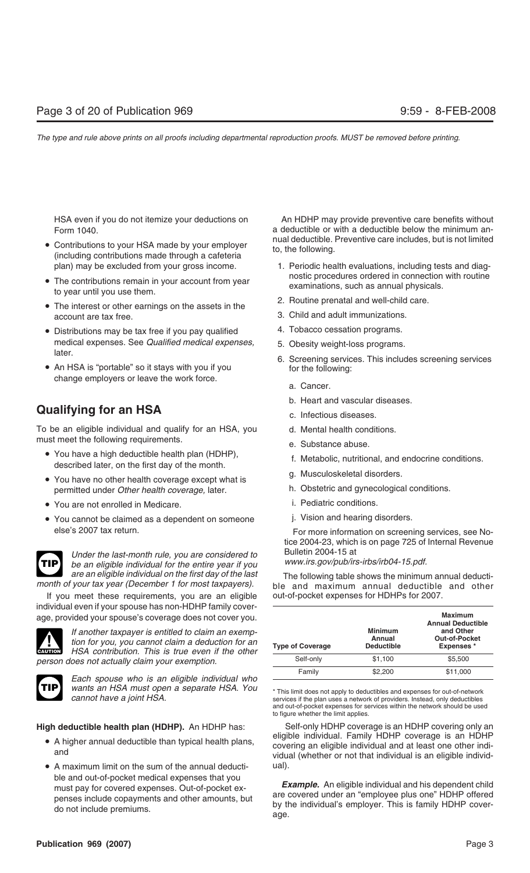- Contributions to your HSA made by your employer to, the following.<br>(including contributions made through a cafeteria
- The contributions remain in your account from year nostic procedures ordered in connection with routine examinations, such as annual physicals.<br>to year until you use them.<br>2. Routine prenatal and well-child care.
- The interest or other earnings on the assets in the account are tax free.  $\overline{\phantom{a}}$  account are tax free.
- Distributions may be tax free if you pay qualified 4. Tobacco cessation programs. medical expenses. See *Qualified medical expenses,* 5. Obesity weight-loss programs.<br>later.
- change employers or leave the work force.<br>a. Cancer.

## **Qualifying for an HSA** c. Infectious diseases.

To be an eligible individual and qualify for an HSA, you d. Mental health conditions. must meet the following requirements. The substance abuse e. Substance abuse.

- You have a high deductible health plan (HDHP), described later, on the first day of the month.<br>  $\frac{1}{2}$  described later, on the first day of the month.<br>  $\frac{1}{2}$  d. Musculoskeletal disorders.
- You have no other health coverage except what is<br>nermitted under Other health coverage later being by the Obstetric and gynecological conditions. permitted under *Other health coverage*, later.
- You are not enrolled in Medicare. in the same state of the Pediatric conditions.
- You cannot be claimed as a dependent on someone j. Vision and hearing disorders. else's 2007 tax return.



*Under the last-month rule, you are considered to* Bulletin 2004-15 at *be an eligible individual for the entire year if you* 

If you meet these requirements, you are an eligible out-of-pocket expenses for HDHPs for 2007. individual even if your spouse has non-HDHP family coverage, provided your spouse's coverage does not cover you.





*Each spouse who is an eligible individual who wants an HSA must open a separate HSA. You*<br>cannot have a joint HSA.<br>services if the plan uses a network of providers. Instead, only deductibles

- 
- A maximum limit on the sum of the annual deductible and out-of-pocket medical expenses that you

HSA even if you do not itemize your deductions on An HDHP may provide preventive care benefits without Form 1040.<br>a deductible or with a deductible below the minimum an-<br>nual deductible. Preventive care includes, but is not limited

- plan) may be excluded from your gross income. 1. Periodic health evaluations, including tests and diag-
	-
	-
	-
	-
- later.<br>• An HSA is "portable" so it stays with you if you for the following:<br>• An HSA is "portable" so it stays with you if you for the following:
	-
	- b. Heart and vascular diseases.
	-
	-
	-
	-
	-
	-
	-
	-

tice 2004-23, which is on page 725 of Internal Revenue

are an eligible individual on the first day of the last<br>month of your tax year (December 1 for most taxpayers). ble and maximum annual deductible and other ble and maximum annual deductible and other

| ndividual even il your spouse nas non-HDHP lamily cover-<br>age, provided your spouse's coverage does not cover you.                                                          |                         |                                               | <b>Maximum</b><br><b>Annual Deductible</b>             |
|-------------------------------------------------------------------------------------------------------------------------------------------------------------------------------|-------------------------|-----------------------------------------------|--------------------------------------------------------|
| If another taxpayer is entitled to claim an exemp-<br>tion for you, you cannot claim a deduction for an<br>HSA contribution. This is true even if the other<br><b>CAUTION</b> | <b>Type of Coverage</b> | <b>Minimum</b><br>Annual<br><b>Deductible</b> | and Other<br><b>Out-of-Pocket</b><br><b>Expenses</b> * |
| person does not actually claim your exemption.                                                                                                                                | Self-only               | \$1.100                                       | \$5,500                                                |
| Foot apouce who is an eligible individual who                                                                                                                                 | Family                  | \$2,200                                       | \$11,000                                               |

services if the plan uses a network of providers. Instead, only deductibles and out-of-pocket expenses for services within the network should be used to figure whether the limit applies.

**High deductible health plan (HDHP).** An HDHP has: Self-only HDHP coverage is an HDHP covering only an eligible individual. Family HDHP coverage is an HDHP<br>-and and at least one other indi-<br>-vidual (whether or not that individual is an eligible individual<br>vidual (whether or not that individual is an eligible individ-

must pay for covered expenses. Out-of-pocket ex-<br> **Example.** An eligible individual and his dependent child<br>
are covered under an "employee plus one" HDHP offered penses include copayments and other amounts, but<br>do not include premiums.<br>do not include premiums.<br>age.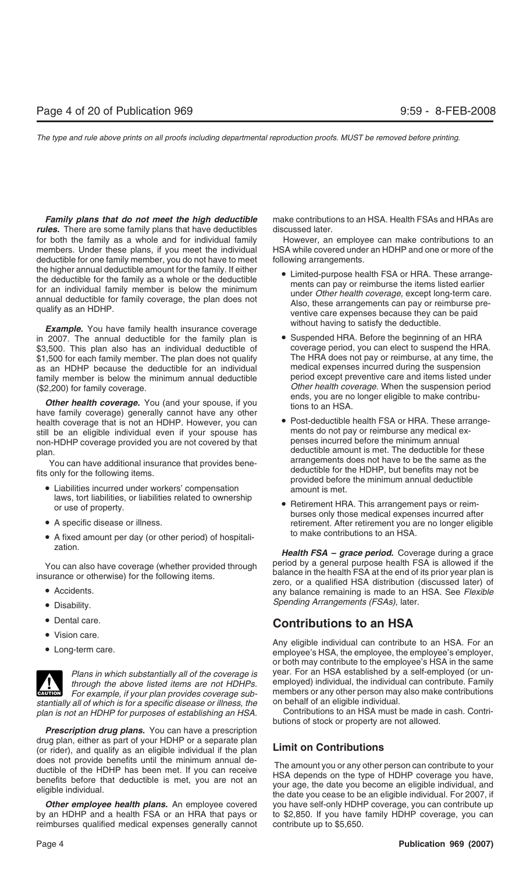rules. There are some family plans that have deductibles discussed later. for both the family as a whole and for individual family However, an employee can make contributions to an members. Under these plans, if you meet the individual HSA while covered under an HDHP and one or more of the members. Under these plans, if you meet the individual deductible for one family member, you do not have to meet following arrangements.<br>the higher annual deductible amount for the family. If either the higher annual deductible amount for the family. If either<br>
the deductible for the family as a whole or the deductible<br>
for an individual family member is below the minimum<br>
annual deductible for family coverage, the pl

**Example.** You have family health insurance coverage without having to satisfy the deductible.<br>2007. The annual deductible for the family plan is **Communisher Suspended HRA.** Before the beginning of an HRA in 2007. The annual deductible for the family plan is **•** Suspended HRA. Before the beginning of an HRA<br>\$3,500. This plan also has an individual deductible of **coverage period, you can elect to suspend the HRA**. \$3,500. This plan also has an individual deductible of coverage period, you can elect to suspend the HRA.<br>\$1,500 for each family member. The plan does not qualify The HRA does not pay or reimburse, at any time, the \$1,500 for each family member. The plan does not qualify The HRA does not pay or reimburse, at any time, the suspension<br>The HRA does not pay or reimburse, at any time, the suspension<br>medical expenses incurred during the su as an HDHP because the deductible for an individual family member is below the minimum annual deductible period except preventive care and items listed under

**Other health coverage.** You (and your spouse, if you the striving to an HSA. have family coverage) generally cannot have any other health coverage that is not an HDHP. However, you can • Post-deductible health FSA or HRA. These arrange-<br>still be an eligible individual even if your spouse has ments do not pay or reimburse any medical exstill be an eligible individual even if your spouse has ments do not pay or reimburse any medical ex-<br>non-HDHP coverage provided you are not covered by that penses incurred before the minimum annual non-HDHP coverage provided you are not covered by that

- 
- 
- A fixed amount per day (or other period) of hospitali-<br> **b** make contributions to an HSA.

- 
- 
- 
- 
- 

through the above listed items are not HDHPs. employed) individual, the individual can contribute. Family<br>For example, if your plan provides coverage sub-<br>members or any other person may also make contributions stantially all of which is for a specific disease or illness, the on behalf of an eligible individual.<br>plan is not an HDHP for purposes of establishing an HSA.<br>Contributions to an HSA must be made in cash. Contribution *plan is not an HDHP for purposes of establishing an HSA.* 

*Prescription drug plans.* You can have a prescription drug plan, either as part of your HDHP or a separate plan (or rider), and qualify as an eligible individual if the plan **Limit on Contributions**

by an HDHP and a health FSA or an HRA that pays or to \$2,850. If you have family HDHP coverage, you can reimburses qualified medical expenses generally cannot contribute up to \$5,650.

*Family plans that do not meet the high deductible* make contributions to an HSA. Health FSAs and HRAs are

- 
- (\$2,200) for family coverage. *Other health coverage.* When the suspension period
- plan. deductible amount is met. The deductible for these<br>Nou can bave additional insurance that provides bene arrangements does not have to be the same as the Vou can have additional insurance that provides bene-<br>
fits only for the following items.<br>
■ lists only for the following items.<br>
■ lists only for the following items.<br>
■ lists only for the HDHP, but benefits may not be<br>
	- laws, tort liabilities, or liabilities related to ownership<br>or use of property.<br>• A specific disease or illness.<br>• A specific disease or illness. retirement. After retirement you are no longer eligible

zation. *Health FSA – grace period.* Coverage during a grace You can also have coverage (whether provided through period by a general purpose health FSA is allowed if the<br>insurance or otherwise) for the following items.<br>ero, or a qualified HSA distribution (discussed later) of<br>any b any balance remaining is made to an HSA. See Flexible *Spending Arrangements (FSAs)*, later. • Disability.

• Dental care.<br>• Vision care.<br>**Contributions to an HSA** *Any eligible individual can contribute to an HSA. For an* • Long-term care. **Exercise to an Exercise to an employee's HSA**, the employee, the employee's employer, or both may contribute to the employee's HSA in the same *Plans in which substantially all of the coverage is* year. For an HSA established by a self-employed (or un-

butions of stock or property are not allowed.

does not provide benefits until the minimum annual de-<br>ductible of the HDHP has been met. If you can receive<br>benefits before that deductible is met, you are not an<br>eligible individual. Tor 2007, if<br>eligible individual. For **Other employee health plans.** An employee covered you have self-only HDHP coverage, you can contribute up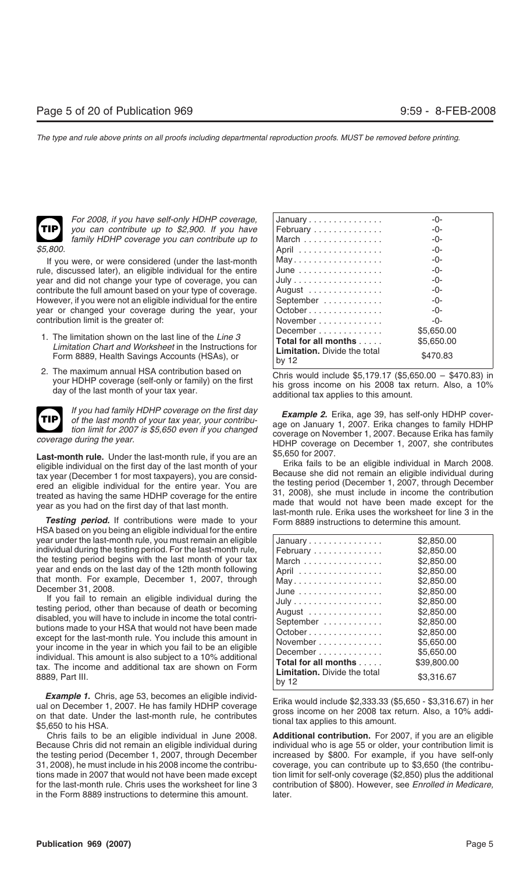

- 
- 

**TIP**

**Last-month rule.** Under the last-month rule, if you are an  $$5,650$  for 2007.<br>
eligible individual on the first day of the last month of your<br>
tax year (December 1 for most taxpayers), you are consid-<br>
ered an eligible in

**Testing period.** If contributions were made to your Form 8889 instructions to determine this amount. HSA based on you being an eligible individual for the entire year under the last-month rule, you must remain an eligible individual during the testing period. For the last-month rule, the testing period begins with the last month of your tax year and ends on the last day of the 12th month following that month. For example, December 1, 2007, through December 31, 2008.

December 31, 2008.<br>
If you fail to remain an eligible individual during the<br>
disabled, you will have to include in income the total contri-<br>
disabled, you will have been made<br>
except for the last-month rule. You include th

**Example 1.** Chris, age 53, becomes an eligible individ-<br>ual on December 1, 2007. He has family HDHP coverage<br>on that date. Under the last-month rule, he contributes<br>\$5,650 to his HSA.<br>\$5,650 to his HSA.

Because Chris did not remain an eligible individual during individual who is age 55 or older, your contribution limit is the testing period (December 1, 2007, through December increased by \$800. For example, if you have self-only 31, 2008), he must include in his 2008 income the contribu- coverage, you can contribute up to \$3,650 (the contributions made in 2007 that would not have been made except tion limit for self-only coverage (\$2,850) plus the additional for the last-month rule. Chris uses the worksheet for line 3 contribution of \$800). However, see *Enrolled in Medicare,* in the Form 8889 instructions to determine this amount. later.

| For 2008, if you have self-only HDHP coverage,                                                          | January                                        | -0-        |
|---------------------------------------------------------------------------------------------------------|------------------------------------------------|------------|
| $\mathsf{TIP}$<br>you can contribute up to \$2,900. If you have                                         | February                                       | -0-        |
| family HDHP coverage you can contribute up to                                                           | March                                          | -0-        |
| \$5,800.                                                                                                | April                                          | -0-        |
| If you were, or were considered (under the last-month                                                   | May                                            | -0-        |
| rule, discussed later), an eligible individual for the entire                                           | June $\ldots \ldots \ldots \ldots \ldots$      | -0-        |
| year and did not change your type of coverage, you can                                                  |                                                | -0-        |
| contribute the full amount based on your type of coverage.                                              | August                                         | -0-        |
| However, if you were not an eligible individual for the entire                                          | September                                      | -0-        |
| year or changed your coverage during the year, your                                                     | October                                        | -0-        |
| contribution limit is the greater of:                                                                   | November                                       | -0-        |
|                                                                                                         | December                                       | \$5,650.00 |
| 1. The limitation shown on the last line of the Line 3                                                  | <b>Total for all months</b>                    | \$5,650,00 |
| Limitation Chart and Worksheet in the Instructions for<br>Form 8889, Health Savings Accounts (HSAs), or | <b>Limitation.</b> Divide the total<br>by $12$ | \$470.83   |

2. The maximum annual HSA contribution based on<br>your HDHP coverage (self-only or family) on the first<br>day of the last month of your tax year.<br>additional tax applies to this amount.<br>additional tax applies to this amount.

If you had family HDHP coverage on the first day<br>of the last month of your tax year, your contribu-<br>tion limit for 2007 is \$5,650 even if you changed<br>coverage on November 1, 2007. Because Erika has family coverage on November 1, 2007. Because Erika has family *coverage during the year.* HDHP coverage on December 1, 2007, she contributes

| January                                      | \$2,850.00  |
|----------------------------------------------|-------------|
| February                                     | \$2,850.00  |
| March                                        | \$2,850,00  |
| April                                        | \$2,850.00  |
| $May. \ldots \ldots \ldots \ldots \ldots$    | \$2,850.00  |
| June $\ldots \ldots \ldots \ldots \ldots$    | \$2,850.00  |
| July                                         | \$2,850.00  |
| August                                       | \$2,850.00  |
| September                                    | \$2,850.00  |
| October                                      | \$2,850.00  |
| November                                     | \$5,650,00  |
| December                                     | \$5,650,00  |
| <b>Total for all months</b>                  | \$39,800.00 |
| <b>Limitation.</b> Divide the total<br>by 12 | \$3,316.67  |

Chris fails to be an eligible individual in June 2008. **Additional contribution.** For 2007, if you are an eligible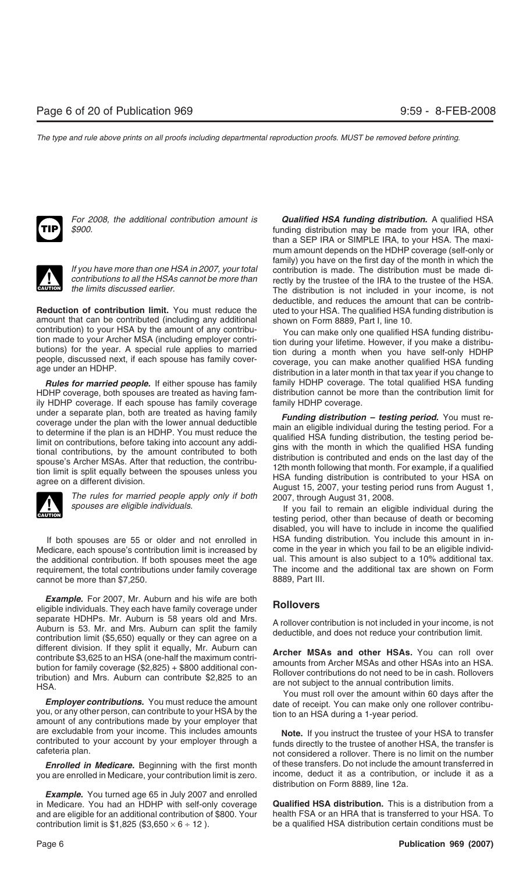



**Reduction of contribution limit.** You must reduce the uted to your HSA. The qualified HSA funding distribution is amount that can be contributed (including any additional shown on Form 8889, Part I, line 10.<br>
contribution) to your HSA by the amount of any contribu-

HDHP coverage, both spouses are treated as having family HDHP coverage. If each spouse has family coverage family HDHP coverage.



Medicare, each spouse's contribution limit is increased by come in the year in which you fail to be an eligible individthe additional contribution. If both spouses meet the age ual. This amount is also subject to a 10% additional tax. requirement, the total contributions under family coverage The income and the additional tax are shown on Form cannot be more than \$7,250. Solution of the same series and series and series and series and series and series series and series and series and series and series and series and series and series and series and series and s

**Example.** For 2007, Mr. Auburn and his wife are both **Rollovers** eligible individuals. They each have family coverage under separate HDHPs. Mr. Auburn is 58 years old and Mrs.<br>Auburn is 53. Mr. and Mrs. Auburn can split the family<br>contribution limit (\$5,650) equally or they can agree on a<br>deductible, and does not reduce your contribution limit. different division. If they split it equally, Mr. Auburn can<br>contribute \$3,625 to an HSA (one-half the maximum contri-<br>bution for family coverage (\$2,825) + \$800 additional con-<br>tribution) and Mrs. Auburn can contribute \$

are excludable from your income. This includes amounts<br>contributed to your account by your employer through a<br>cafeteria plan.<br>not considered a rollover. There is no limit on the number

you are enrolled in Medicare, your contribution limit is zero.

*Example.* You turned age 65 in July 2007 and enrolled

*For 2008, the additional contribution amount is Qualified HSA funding distribution.* A qualified HSA *\$900.* funding distribution may be made from your IRA, other than a SEP IRA or SIMPLE IRA, to your HSA. The maximum amount depends on the HDHP coverage (self-only or family) you have on the first day of the month in which the *If you have more than one HSA in 2007, your total* contribution is made. The distribution must be made di-<br>*contributions to all the HSAs cannot be more than* rectly by the trustee of the IRA to the trustee of the HSA *contributions to all the HSAs cannot be more than* rectly by the trustee of the IRA to the trustee of the HSA. The distribution is not included in your income, is not deductible, and reduces the amount that can be contrib-

contribution) to your HSA by the amount of any contribu-<br>tion made to your Archer MSA (including employer contri-<br>butions) for the year. A special rule applies to married<br>people, discussed next, if each spouse has family c *Rules for married people.* If either spouse has family family HDHP coverage. The total qualified HSA funding

under a separate plan, both are treated as having family<br>to determine if the plan with the lower annual deductible<br>to determine if the plan is an HDHP. You must reduce the<br>limit on contributions, before taking into account <sup>1</sup> August 15, 2007, your testing period runs from August 1,<br>*The rules for married people apply only if both* 2007, through August 31, 2008.<br>If you fail to remain an eligible individual during the

If you fail to remain an eligible individual during the testing period, other than because of death or becoming disabled, you will have to include in income the qualified If both spouses are 55 or older and not enrolled in HSA funding distribution. You include this amount in in-

Employer contributions. You must reduce the amount<br>you must roll over the amount within 60 days after the<br>you, or any other person, can contribute to your HSA by the<br>amount of any contributions made by your employer that

*Enrolled in Medicare.* Beginning with the first month of these transfers. Do not include the amount transferred in distribution on Form 8889, line 12a.

in Medicare. You had an HDHP with self-only coverage **Qualified HSA distribution.** This is a distribution from a and are eligible for an additional contribution of \$800. Your health FSA or an HRA that is transferred to your HSA. To contribution limit is \$1,825 (\$3,650  $\times$  6 ÷ 12 ). be a qualified HSA distribution certain conditions must be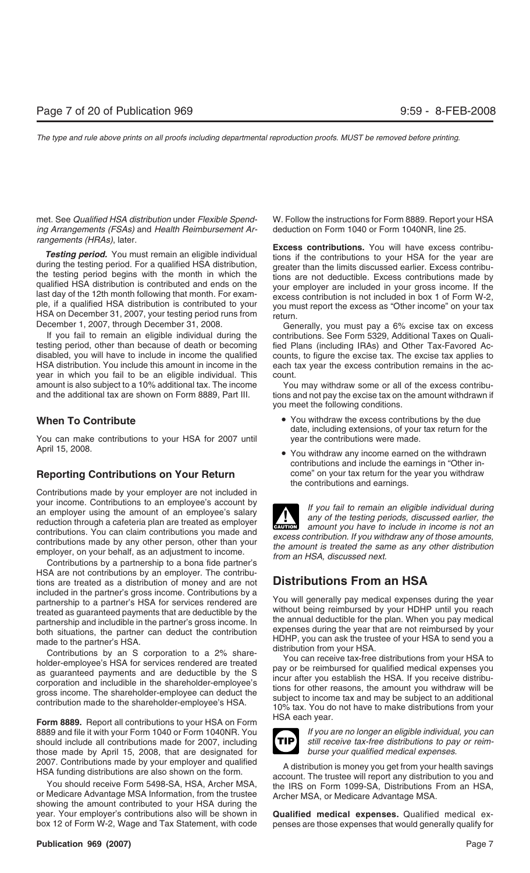met. See *Qualified HSA distribution* under *Flexible Spend-* W. Follow the instructions for Form 8889. Report your HSA *ing Arrangements (FSAs)* and *Health Reimbursement Arrangements (HRAs)*, later.

**Testing period.** You must remain an eligible individual<br>during the testing period. For a qualified HSA distribution,<br>the testing period begins with the month in which the<br>qualified HSA distribution is contributed and ends December 1, 2007, through December 31, 2008. Generally, you must pay a 6% excise tax on excess

testing period, other than because of death or becoming fied Plans (including IRAs) and Other Tax-Favored Acdisabled, you will have to include in income the qualified counts, to figure the excise tax. The excise tax applies to HSA distribution. You include this amount in income in the each tax year the excess contribution remains in the acyear in which you fail to be an eligible individual. This count. amount is also subject to a 10% additional tax. The income You may withdraw some or all of the excess contribuand the additional tax are shown on Form 8889, Part III. tions and not pay the excise tax on the amount withdrawn if

You can make contributions to your HSA for 2007 until year the contributions were made. April 15, 2008.

Contributions made by your employer are not included in your income. Contributions to an employee's account by<br>an employer using the amount of an employee's salary<br>reduction through a cafeteria plan are treated as employer<br>contributions. You can claim contributions you made and

HSA are not contributions by an employer. The contributions are treated as a distribution of money and are not **Distributions From an HSA** included in the partner's gross income. Contributions by a<br>partnership to a partner's HSA for services rendered are<br>treated as guaranteed payments that are deductible by the<br>partnership and includible in the partner's gros

Contributions by an S corporation to a 2% share-<br>holder-employee's HSA for services rendered are treated<br>as guaranteed payments and are deductible by the S<br>corporation and includible in the shareholder-employee's<br>gross inc

HSA each year. **Form 8889.** Report all contributions to your HSA on Form 8889 and file it with your Form 1040 or Form 1040NR. You *If you are no longer an eligible individual, you can* should include all contributions made for 2007, including *still receive tax-free distributions to pay or reim*those made by April 15, 2008, that are designated for *burse your qualified medical expenses.*

showing the amount contributed to your HSA during the  $\frac{1}{\sqrt{2\pi}}$ year. Your employer's contributions also will be shown in **Qualified medical expenses.** Qualified medical exbox 12 of Form W-2, Wage and Tax Statement, with code penses are those expenses that would generally qualify for

**Excess contributions.** You will have excess contribu-

If you fail to remain an eligible individual during the contributions. See Form 5329, Additional Taxes on Quali-

you meet the following conditions.

- **When To Contribute** *Contribute Mhen* **To Contributions by the due in the You withdraw the excess contributions by the due** date, including extensions, of your tax return for the
- contributions and include the earnings in "Other in-**Reporting Contributions on Your Return** come" on your tax return for the year you withdraw the contributions and earnings.

**ENTION** amount you have to include in income is not an contributions. To car claim contributions you made and<br>contributions made by any other person, other than your<br>employer, on your behalf, as an adjustment to income.<br>Contributions by a partnership to a bona fide partner's<br>c

both situations, the partner can deduct the contribution<br>made to the partner's HSA.<br>Contributions by an Superpretion to a 2% sharp distribution from your HSA.



2007. Contributions made by your employer and qualified<br>
HSA funding distributions are also shown on the form.<br>
You should receive Form 5498-SA, HSA, Archer MSA,<br>
or Medicare Advantage MSA Information, from the trustee<br>
A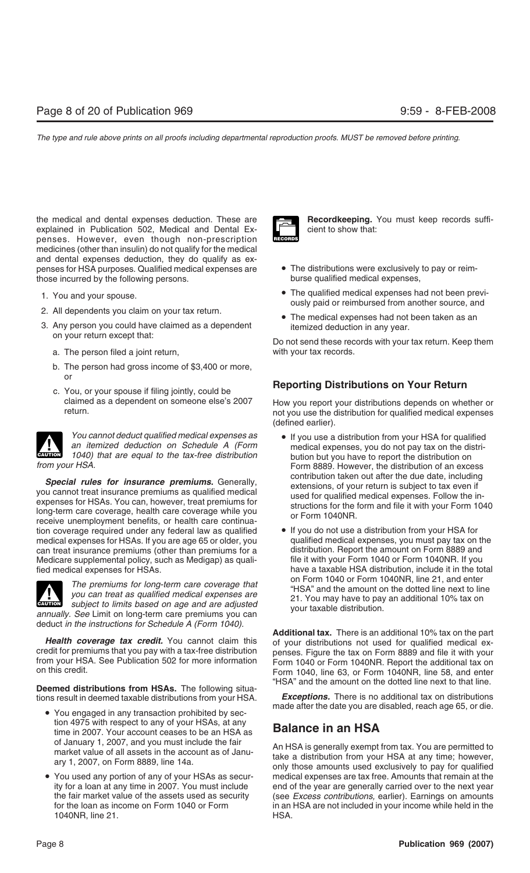the medical and dental expenses deduction. These are **Recordkeeping.** You must keep records suffiexplained in Publication 502, Medical and Dental  $Ex \Box$  cient to show that: penses. However, even though non-prescription medicines (other than insulin) do not qualify for the medical and dental expenses deduction, they do qualify as expenses for HSA purposes. Qualified medical expenses are • • The distributions were exclusively to pay or reim-<br>those incurred by the following persons. those incurred by the following persons.

- 
- 
- - a. The person filed a joint return, example a with your tax records.
	- b. The person had gross income of \$3,400 or more, or
	-



You cannot deduct qualified medical expenses as <br>an itemized deduction on Schedule A (Form medical expenses, you do not pay tax on the distri-<br>form your HSA.<br>from your HSA.<br>Form 8889. However, the distribution of an excess

**Special rules for insurance premiums.** Generally,<br>you cannot treat insurance premiums as qualified medical<br>expenses for HSAs. You can, however, treat premiums for<br>long-term care coverage, health care coverage while you<br>re The coverage required under any federal law as qualified  $\bullet$  If you do not use a distribution from your HSA for medical expenses for HSAs. If you are age 65 or older, you qualified medical expenses, you must pay tax on th medical expenses for HSAs. If you are age 65 or older, you qualified medical expenses, you must pay tax on the<br>can treat insurance premiums (other than premiums for a distribution. Report the amount on Form 8889 and can treat insurance premiums (other than premiums for a distribution. Report the amount on Form 8889 and<br>Medicare supplemental policy, such as Medigap) as quali-<br>file it with your Form 1040 or Form 1040NR. If you Medicare supplemental policy, such as Medigap) as quali-

**CAUTION** 

annually. See Limit on long-term care premiums you can deduct *in the instructions for Schedule A (Form 1040).*

"HSA" and the amount on the dotted line next to that line.<br>**Deemed distributions from HSAs.** The following situa-<br>**Exceptions.** There is no additional tax on distributions tions result in deemed taxable distributions from your HSA.

- tion 4975 with respect to any of your HSAs, at any time in 2007. Your account ceases to be an HSA as **Balance in an HSA**
- 1040NR, line 21. HSA.



- 
- 1. You and your spouse.<br>
2. All dependents you claim on your tax return.<br>
3. Any person you could have claimed as a dependent<br>
3. Any person you could have claimed as a dependent<br>
3. Any person you could have claimed as a
	-

## **Reporting Distributions on Your Return** c. You, or your spouse if filing jointly, could be

claimed as a dependent on someone else's 2007 How you report your distributions depends on whether or not you use the distribution for qualified medical expenses (defined earlier).

- Form 8889. However, the distribution of an excess
- fied medical expenses for HSAs.<br>
have a taxable HSA distribution, include it in the total<br>
on Form 1040 or Form 1040NR, line 21, and enter The premiums for long-term care coverage that<br>you can treat as qualified medical expenses are<br>subject to limits based on age and are adjusted<br>wour taxable distribution.

**Additional tax.** There is an additional 10% tax on the part<br>credit for premiums that you pay with a tax-free distribution<br>from your HSA. See Publication 502 for more information<br>on this credit.<br>Form 1040 or Form 1040NR. R

• You engaged in any transaction prohibited by sec-<br>• You engaged in any transaction prohibited by sec-

of January 1, 2007, and you must include the fair<br>market value of all assets in the account as of Janu-<br>ary 1, 2007, on Form 8889, line 14a.<br>only those amounts used exclusively to pay for qualified • You used any portion of any of your HSAs as secur- medical expenses are tax free. Amounts that remain at the ity for a loan at any time in 2007. You must include end of the year are generally carried over to the next year<br>the fair market value of the assets used as security (see Excess contributions, earlier). Earnings on amounts the fair market value of the assets used as security (see *Excess contributions,* earlier). Earnings on amounts for the loan as income on Form 1040 or Form in an HSA are not included in your income while held in the in an HSA are not included in your income while held in the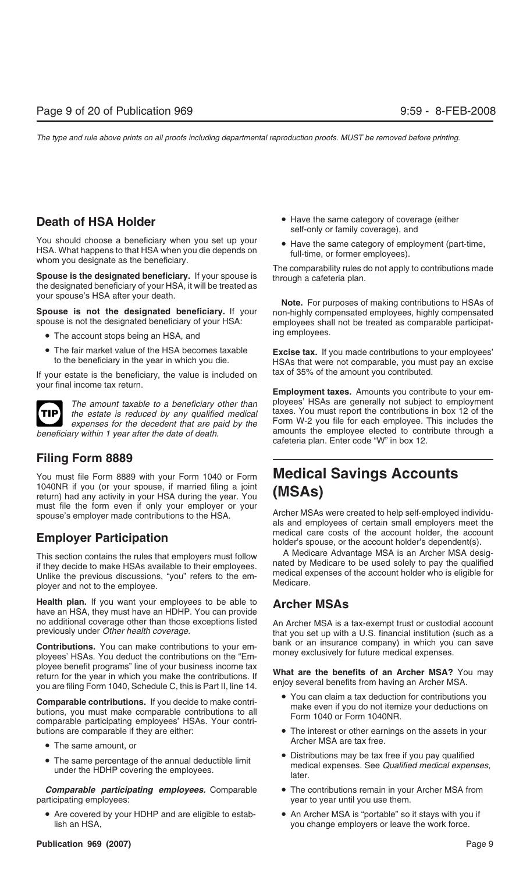You should choose a beneficiary when you set up your<br>HSA. What happens to that HSA when you die depends on whom you designate as the beneficiary.<br>The comparability rules do not apply to contributions made

**Spouse is the designated beneficiary.** If your spouse is through a cafeteria plan. the designated beneficiary of your HSA, it will be treated as your spouse's HSA after your death. **Note.** For purposes of making contributions to HSAs of

**Spouse is not the designated beneficiary.** If your non-highly compensated employees, highly compensated spouse is not the designated beneficiary of your HSA: employees shall not be treated as comparable participat-

- The account stops being an HSA, and **ing employees**.
- 

If your estate is the beneficiary, the value is included on  $1.1$  tax of 35% of the amount you contributed.



## **Filing Form 8889**

1040NR if you (or your spouse, if married filing a joint **(MSAs)** return) had any activity in your HSA during the year. You must file the form even if only your employer or your<br>spouse's employer made contributions to the HSA.<br>als and employees of certain small employers meet the

This section contains the rules that employers must follow and Medicare Advantage MSA is an Archer MSA desig-<br>if they decide to make HSAs available to their employees.<br>Unlike the previous discussions, "you" refers to the e

**Health plan.** If you want your employees to be able to **Archer MSAs** have an HSA, they must have an HDHP. You can provide no additional coverage other than those exceptions listed An Archer MSA is a tax-exempt trust or custodial account<br>previously under *Other health coverage.* that you set up with a U.S. financial institution (such as a

**Contributions.** You can make contributions to your em-<br>ployees' HSAs. You deduct the contributions on the "Em- money exclusively for future medical expenses. ployee benefit programs" line of your business income tax<br>return for the year in which you make the contributions. If What are the benefits of an Archer MSA? You may<br>you are filing Form 1040, Schedule C, this is Part II, l

**Comparable contributions.** If you decide to make contri-<br>butions, you must make comparable contributions to all<br>comparable participating employees' HSAs. Your contri-<br>Form 1040 or Form 1040NR.

- $\bullet$  The same amount, or
- 

*Comparable participating employees.* Comparable • The contributions remain in your Archer MSA from participating employees: year to year until you use them.

• Are covered by your HDHP and are eligible to estab-<br>• An Archer MSA is "portable" so it stays with you if lish an HSA, you change employers or leave the work force.

- **Death of HSA Holder Have the same category of coverage (either** self-only or family coverage), and
	-

employees shall not be treated as comparable participat-

• The fair market value of the HSA becomes taxable **Excise tax.** If you made contributions to your employees' to the beneficiary in the year in which you die. HSAs that were not comparable, you must pay an excise

your final income tax return. **Employment taxes.** Amounts you contribute to your em-The amount taxable to a beneficiary other than ployees' HSAs are generally not subject to employment<br>the estate is reduced by any qualified medical taxes. You must report the contributions in box 12 of the<br>expenses for the beneficiary within 1 year after the date of death. **a** amounts the employee elected to contribute through a cafeteria plan. Enter code "W" in box 12.

# You must file Form 8889 with your Form 1040 or Form **Medical Savings Accounts** 1040NR if you (or your spouse, if married filing a joint  $(MACA)$

**Employer Participation Employer Participation Employer Participation holder's spouse, or the account holder's dependent(s).** 

- 
- butions are comparable if they are either:<br>
 The interest or other earnings on the assets in your<br>
Archer MSA are tax free.
	- Distributions may be tax free if you pay qualified The same percentage of the annual deductible limit medical expenses. See *Qualified medical expenses,* under the HDHP covering the employees. later.
		-
		-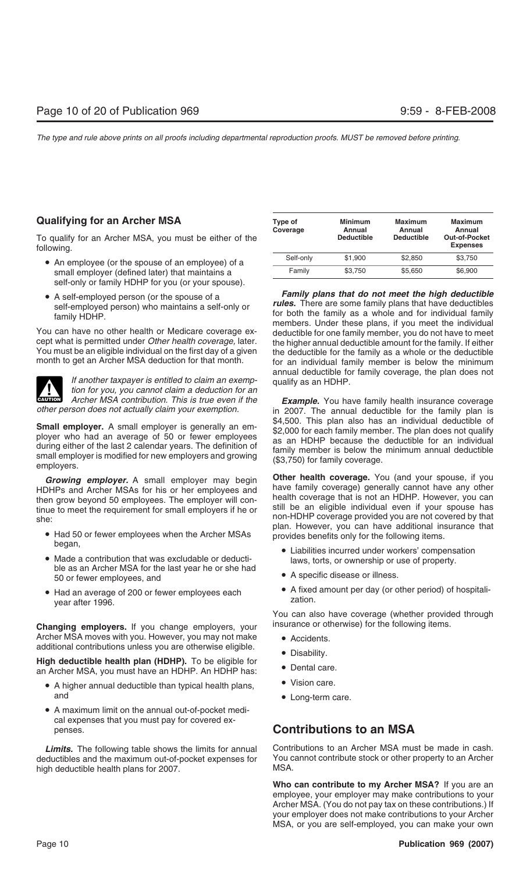### **Qualifying for an Archer MSA**

To qualify for an Archer MSA, you must be either of the **Expenses** following.

- An employee (or the spouse of an employee) of a small employer (defined later) that maintains a self-only or family HDHP for you (or your spouse).
- 



**ENGINEER** Archer MSA contribution. This is true even if the

**Small employer.** A small employer is generally an em-<br>ployer who had an average of 50 or fewer employees<br>during either of the last 2 calendar years. The definition of<br>small employer is modified for new employers and grow

HDHPs and Archer MSAs for his or her employees and have family coverage) generally cannot have any other<br>then grow heyond 50 employees. The employer will con-<br>health coverage that is not an HDHP. However, you can

- 
- Had 50 or fewer employees when the Archer MSAs<br>
began,<br>
 Made a contribution that was excludable or deducti-<br>
ble as an Archer MSA for the last year he or she had<br>
50 or fewer employees, and<br>
ble was exclude or deducti-
- 

**Changing employers.** If you change employers, your insurance or otherwise) for the following items. Archer MSA moves with you. However, you may not make • Accidents.<br>additional contributions unless you are otherwise eligible.

**High deductible health plan (HDHP).** To be eligible for **• Disability.**<br> **An Archer MSA, you must have an HDHP. An HDHP has:** • Dental care.

- A higher annual deductible than typical health plans, Vision care. and **• Long-term care.**
- A maximum limit on the annual out-of-pocket medical expenses that you must pay for covered expenses. **Contributions to an MSA**

deductibles and the maximum out-of-pocket expenses for You cannot contribute stock or other has been been as t<br>Archite stock or other property to an Archer property to an Archer property to an Archer property to an Archer high deductible health plans for 2007.

| Type of<br>Coverage | <b>Minimum</b><br>Annual<br><b>Deductible</b> | Maximum<br>Annual<br><b>Deductible</b> | <b>Maximum</b><br>Annual<br><b>Out-of-Pocket</b><br><b>Expenses</b> |
|---------------------|-----------------------------------------------|----------------------------------------|---------------------------------------------------------------------|
| Self-only           | \$1,900                                       | \$2,850                                | \$3,750                                                             |
| Family              | \$3,750                                       | \$5,650                                | \$6,900                                                             |

• A self-employed person (or the spouse of a<br>self-employed person) who maintains a self-only or<br>family plans that do not meet the high deductible<br>for both the family as a whole and for individual family<br>members. Under thes annual deductible for family coverage, the plan does not *If another taxpayer is entitled to claim an exemp-* qualify as an HDHP. *tion for you, you cannot claim a deduction for an*

**Archer MSA contribution.** This is true even if the *Example.* You have family health insurance coverage other person does not actually claim your exemption. in 2007. The annual deductible for the family plan is

Growing employer. A small employer may begin **Other health coverage.** You (and your spouse, if you then grow beyond 50 employees. The employer will con-<br>tinue to meet the requirement for small employers if he or<br>she:<br>she:<br>plan. However, you can have additional insurance that<br>plan. However, you can have additional insura

- 
- 
- Had an average of 200 or fewer employees each A fixed amount per day (or other period) of hospitali-<br>vear after 1996.

You can also have coverage (whether provided through

- 
- 
- 
- 
- 

**Limits.** The following table shows the limits for annual Contributions to an Archer MSA must be made in cash.<br>Equatibles and the maximum out-of-pocket expenses for You cannot contribute stock or other property to an Arche

**Who can contribute to my Archer MSA?** If you are an employee, your employer may make contributions to your Archer MSA. (You do not pay tax on these contributions.) If your employer does not make contributions to your Archer MSA, or you are self-employed, you can make your own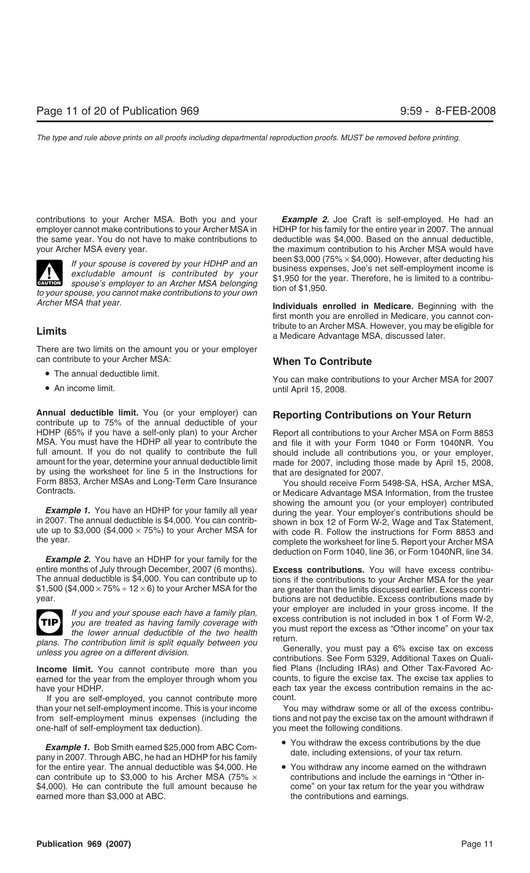contributions to your Archer MSA. Both you and your *Example 2.* Joe Craft is self-employed. He had an employer cannot make contributions to your Archer MSA in HDHP for his family for the entire year in 2007. The annual the same year. You do not have to make contributions to deductible was \$4,000. Based on the annual deductible,



to your spouse, you cannot make contributions to your own

There are two limits on the amount you or your employer can contribute to your Archer MSA: **When To Contribute**

- 
- 

**Annual deductible limit.** You (or your employer) can **Reporting Contributions on Your Return** contribute up to 75% of the annual deductible of your HDHP (65% if you have a self-only plan) to your Archer Report all contributions to your Archer MSA on Form 8853<br>MSA. You must have the HDHP all year to contribute the and file it with your Form 1040 or Form 1040NR. You MSA. You must have the HDHP all year to contribute the and file it with your Form 1040 or Form 1040NR. You full amount. If you do not qualify to contribute the full should include all contributions you, or your employer, amount for the year, determine your annual deductible limit made for 2007, including those made by April 15, by using the worksheet for line 5 in the Instructions for that are designated for 2007. Form 8853, Archer MSAs and Long-Term Care Insurance You should receive Form 5498-SA, HSA, Archer MSA,<br>Contracts. Contracts or Medicare Advantage MSA Information, from the trustee

*Example 2.* You have an HDHP for your family for the entire months of July through December, 2007 (6 months). **Excess contributions.** You will have excess contribu-<br>The annual deductible is \$4,000. You can contribute up to tions if the contributions to your Archer MSA for th The annual deductible is \$4,000. You can contribute up to tions if the contributions to your Archer MSA for the year<br>\$1,500 (\$4,000 × 75% ÷ 12 × 6) to your Archer MSA for the are greater than the limits discussed earlier.



earned for the year from the employer through whom you

If you are self-employed, you cannot contribute more count. than your net self-employment income. This is your income You may withdraw some or all of the excess contribufrom self-employment minus expenses (including the tions and not pay the excise tax on the amount withdrawn if one-half of self-employment tax deduction). you meet the following conditions.

**Example 1.** Bob Smith earned \$25,000 from ABC Com-<br>pany in 2007. Through ABC, he had an HDHP for his family date, including extensions, of your tax return. for the entire year. The annual deductible was \$4,000. He  $\bullet$  You withdraw any income earned on the withdrawn can contribute up to \$3,000 to his Archer MSA (75%  $\times$  contributions and include the earnings in "Other incan contribute up to \$3,000 to his Archer MSA (75%  $\times$ \$4,000). He can contribute the full amount because he come" on your tax return for the year you withdraw earned more than \$3,000 at ABC. The contributions and earnings.

your Archer MSA every year.<br>  $\mu_{\text{1D}}$  the maximum contribution to his Archer MSA would have<br>  $\mu_{\text{2D}}$  the maximum contribution to his Archer MSA would have If your spouse is covered by your HDHP and an<br>excludable amount is contributed by your<br>spouse's employer to an Archer MSA belonging<br>spouse's employer to an Archer MSA belonging<br>tion of \$1,950.

*Archer MSA that year.* **Individuals enrolled in Medicare.** Beginning with the first month you are enrolled in Medicare, you cannot contribute to an Archer MSA. However, you may be eligible for **Limits** a Medicare Advantage MSA, discussed later.

• The annual deductible limit. You can make contributions to your Archer MSA for 2007 • An income limit. until April 15, 2008.

made for 2007, including those made by April 15, 2008,

or Medicare Advantage MSA Information, from the trustee **Example 1.** You have an HDHP for your family all year<br>in 2007. The annual deductible is \$4,000. You can contribute during the year. Your employer's contributions should be<br>in 2007. The annual deductible is \$4,000. You ca complete the worksheet for line 5. Report your Archer MSA deduction on Form 1040, line 36, or Form 1040NR, line 34.

are greater than the limits discussed earlier. Excess contriyear. butions are not deductible. Excess contributions made by If you and your spouse each have a family plan,<br>you are treated as having family coverage with<br>the lower annual deductible of the two health<br>the contribution limit is split equally between you. The return.

plans. The contribution limit is split equally between you<br>Generally, you must pay a 6% excise tax on excess<br>-contributions. See Form 5329, Additional Taxes on Quali **Income limit.** You cannot contribute more than you fied Plans (Including IRAs) and Other Tax-Favored Ac-<br>earned for the year from the employer through whom you counts, to figure the excise tax. The excise tax applies to have your HDHP. **Excess** contribution remains in the ac-

- 
-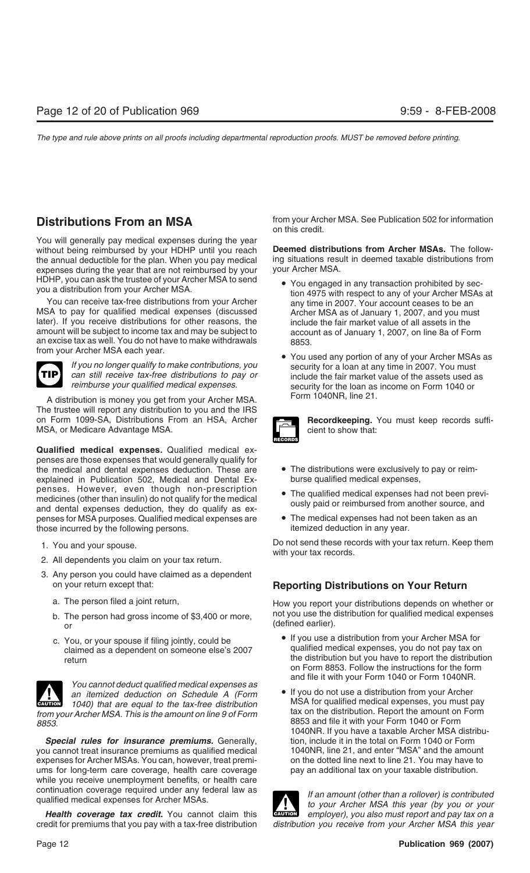You will generally pay medical expenses during the year without being reimbursed by your HDHP until you reach **Deemed distributions from Archer MSAs.** The follow-<br>the annual deductible for the plan. When you pay medical ing situations result in deemed taxable distributions from the annual deductible for the plan. When you pay medical ing situations result expenses during the vear that are not reimbursed by your vour Archer MSA. expenses during the year that are not reimbursed by your<br>HDHP, you can ask the trustee of your Archer MSA to send

You can receive tax-free distributions from your Archer any time in 2007. Your account ceases to be an MSA to pay for qualified medical expenses (discussed Archer MSA as of January 1, 2007, and you must later). If you receive distributions for other reasons, the include the fair market value of all assets in the amount will be subject to income tax and may be subject to account as of January 1, 2007, on line 8a of Form an excise tax as well. You do not have to make withdrawals 8853.<br>from your Archer MSA each year.



Form 1040NR, line 21. A distribution is money you get from your Archer MSA. The trustee will report any distribution to you and the IRS on Form 1099-SA, Distributions From an HSA, Archer **Recordkeeping.** You must keep records suffi-<br>MSA, or Medicare Advantage MSA. MSA, or Medicare Advantage MSA.

**Qualified medical expenses.** Qualified medical expenses are those expenses that would generally qualify for the medical and dental expenses deduction. These are • The distributions were exclusively to pay or reimexplained in Publication 502, Medical and Dental Ex- burse qualified medical expenses, penses. However, even though non-prescription<br>medicines (other than insulin) do not qualify for the medical<br>and dental expenses deduction, they do qualify as ex-<br>pusily paid or reimbursed from another source, and<br>and denta penses for MSA purposes. Qualified medical expenses are • The medical expenses had not been taken as an those incurred by the following persons. The state of the itemized deduction in any year.

- 
- 2. All dependents you claim on your tax return.
- 3. Any person you could have claimed as a dependent
	-
	-
	-



You cannot deduct qualified medical expenses as<br>an itemized deduction on Schedule A (Form Itemia on the a distribution from your Archer<br>1040) that are equal to the tax-free distribution MSA for qualified medical expenses, *from your Archer MSA. This is the amount on line 9 of Form 8853.* 8853 and file it with your Form 1040 or Form

**Special rules for insurance premiums.** Generally, a tion, include it in the total on Form 1040 or Form understand<br>u cannot treat insurance premiums as qualified medical a the 1040NR, line 21, and enter "MSA" and the amoun you cannot treat insurance premiums as qualified medical expenses for Archer MSAs. You can, however, treat premi- on the dotted line next to line 21. You may have to ums for long-term care coverage, health care coverage pay an additional tax on your taxable distribution. while you receive unemployment benefits, or health care

credit for premiums that you pay with a tax-free distribution *distribution you receive from your Archer MSA this year*

**Distributions From an MSA** *Iform trom your Archer MSA.* **See Publication 502 for information** on this credit.

- HDHP, you can ask the trustee of your Archer MSA to send You engaged in any transaction prohibited by sec-<br>you a distribution from your Archer MSA.<br>tion 4975 with respect to any of your Archer MSAs at
	- from the team year.<br>If you no longer qualify to make contributions, you each example of a loan at any time in 2007. You must *If you no longer qualify to make contributions, you* security for a loan at any time in 2007. You must can still receive tax-free distributions to pay or sinclude the fair market value of the assets used a *can still receive tax-free distributions to pay or* include the fair market value of the assets used as security for the loan as income on Form 1040 or



- 
- 
- 

1. You and your spouse.<br>
With your tax records with your tax records with your tax records.

### on your return except that: **Reporting Distributions on Your Return**

a. The person filed a joint return, example and How you report your distributions depends on whether or b. The person had gross income of \$3,400 or more, not you use the distribution for qualified medical expenses (defined earlier).

- c. You, or your spouse if filing jointly, could be<br>claimed as a dependent on someone else's 2007 densing the distribution from your Archer MSA for<br>return the distribution but you have to report the distribution on Form 8853. Follow the instructions for the form<br>and file it with your Form 1040 or Form 1040NR.
	- 1040NR. If you have a taxable Archer MSA distribu-

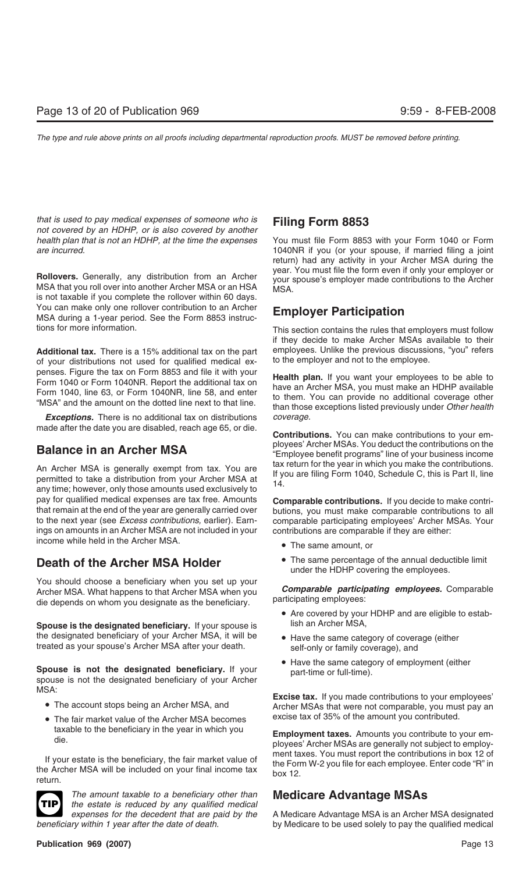*that is used to pay medical expenses of someone who is* **Filing Form 8853** *not covered by an HDHP, or is also covered by another health plan that is not an HDHP, at the time the expenses* You must file Form 8853 with your Form 1040 or Form

is not taxable if you complete the rollover within 60 days. You can make only one rollover contribution to an Archer **Employer Participation**<br>MSA during a 1-year period. See the Form 8853 instructions for more information. This section contains the rules that employers must follow

**Additional tax.** There is a 15% additional tax on the part employees. Unlike the previous discussion of versions, and used for qualified medical ex-<br>A to the employer and predictions, not used for qualified medical ex-<br>of of your distributions not used for qualified medical expenses. Figure the tax on Form 8853 and file it with your<br>Form 1040 or Form 1040NR. Report the additional tax on<br>Form 1040, line 63, or Form 1040NR, line 58, and enter<br>"MSA" and the amount on the dotted line next to that l

*Exceptions.* There is no additional tax on distributions *coverage.*

An Archer MSA is generally exempt from tax. You are<br>permitted to take a distribution from your Archer MSA at any time; however, only those amounts used exclusively to<br>any time; however, only those amounts used exclusively pay for qualified medical expenses are tax free. Amounts **Comparable contributions.** If you decide to make contrithat remain at the end of the year are generally carried over butions, you must make comparable contributions to all<br>to the next year (see Excess contributions, earlier). Earn-<br>comparable participating employees' Archer MS ings on amounts in an Archer MSA are not included in your contributions are comparable if they are either: income while held in the Archer MSA. • The same amount, or

You should choose a beneficiary when you set up your Archer MSA. What happens to that Archer MSA when you *Comparable participating employees.* Comparable die depends on whom you designate as the beneficiary.

**Spouse is the designated beneficiary.** If your spouse is lish an Archer MSA, the designated beneficiary of your Archer MSA, it will be • Have the same category of coverage (either treated as your spouse's Archer MSA after your death.

**Spouse is not the designated beneficiary.** If your **Communisty ending and the same category of employment (either spouse is not the designated beneficiary of your Archer** MSA:

- 
- The fair market value of the Archer MSA becomes excise tax of 35% of the amount you contributed.

return.



*The amount taxable to a beneficiary other than* **Medicare Advantage MSAs** *the estate is reduced by any qualified medical*

*are incurred.* 1040NR if you (or your spouse, if married filing a joint return) had any activity in your Archer MSA during the year. You must file the form even if only your employer or<br>MSA that you roll over into another Archer MSA or an HSA MSA that you roll over into another Archer MSA or an HSA

if they decide to make Archer MSAs available to their

made after the date you are disabled, reach age 65, or die. **Contributions.** You can make contributions to your em-**Balance in an Archer MSA** <sup>ployees' Archer MSAs. You deduct the contributions on the "Employee benefit programs" line of your business income</sup>

comparable participating employees' Archer MSAs. Your

- 
- **Death of the Archer MSA Holder** The same percentage of the annual deductible limit under the HDHP covering the employees.

- Are covered by your HDHP and are eligible to estab-
- 
- 

**Excise tax.** If you made contributions to your employees' **•** The account stops being an Archer MSA, and **Excise tax.** If you made contributions to your employees'

taxable to the beneficiary in the year in which you<br>die. **Employment taxes.** Amounts you contribute to your em-<br>ployees' Archer MSAs are generally not subject to employ-If your estate is the beneficiary, the fair market value of<br>the Form W-2 you file for each employee. Enter code "R" in<br>the Archer MSA will be included on your final income tax<br>box 12.

expenses for the decedent that are paid by the A Medicare Advantage MSA is an Archer MSA designated<br>beneficiary within 1 year after the date of death.<br>by Medicare to be used solely to pay the qualified medical by Medicare to be used solely to pay the qualified medical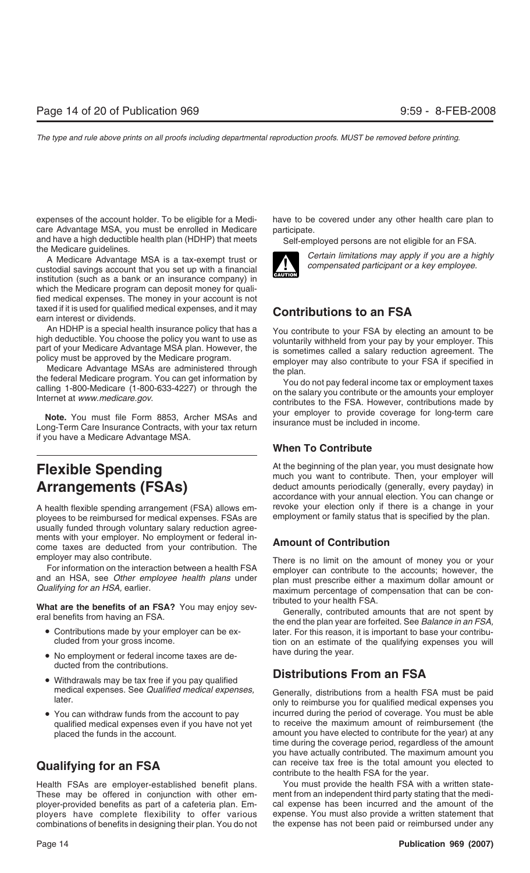expenses of the account holder. To be eligible for a Medi- have to be covered under any other health care plan to care Advantage MSA, you must be enrolled in Medicare participate. and have a high deductible health plan (HDHP) that meets Self-employed persons are not eligible for an FSA.<br>the Medicare guidelines.

A Medicare Advantage MSA is a tax-exempt trust or<br>custodial savings account that you set up with a financial custodial savings account that you set up with a financial institution (such as a bank or an insurance company) in which the Medicare program can deposit money for qualified medical expenses. The money in your account is not taxed if it is used for qualified medical expenses, and it may **Contributions to an FSA** earn interest or dividends.

your employer to provide coverage for long-term care **Note.** You must file Form 8853, Archer MSAs and insurance must be included in income. Long-Term Care Insurance Contracts, with your tax return if you have a Medicare Advantage MSA.

ployees to be reimbursed for medical expenses. FSAs are employment or family status that is specified by the plan. usually funded through voluntary salary reduction agreements with your employer. No employment or federal in- **Amount of Contribution** come taxes are deducted from your contribution. The

What are the benefits of an FSA? You may enjoy sev-<br>eral benefits from having an FSA.<br>the end the plan year are forfeited. See Balance in an FSA,

- 
- No employment or federal income taxes are de-<br>example that the year. ducted from the contributions.
- 
- qualified medical expenses even if you have not yet

These may be offered in conjunction with other em- ment from an independent third party stating that the mediployer-provided benefits as part of a cafeteria plan. Em- cal expense has been incurred and the amount of the ployers have complete flexibility to offer various expense. You must also provide a written statement that combinations of benefits in designing their plan. You do not the expense has not been paid or reimbursed under any



An HDHP is a special health insurance policy that has a<br>
high deductible. You choose the policy you want to use as<br>
part of your Medicare Advantage MSA plan. However, the<br>
policy must be approved by the Medicare program.<br>

### **When To Contribute**

**Flexible Spending**<br> **At** the beginning of the plan year, you must designate how<br> **Arrangements (FSAs)** deduct amounts periodically (generally, every payday) in deduct amounts periodically (generally, every payday) in accordance with your annual election. You can change or A health flexible spending arrangement (FSA) allows em- revoke your election only if there is a change in your

employer may also contribute.<br>For information on the interaction between a health FSA<br>and an HSA, see *Other employee health plans* under<br>*Qualifying for an HSA*, earlier.<br>*Qualifying for an HSA*, earlier.<br>*Although plans* 

• Contributions made by your employer can be ex-<br>later. For this reason, it is important to base your contribucluded from your gross income. tion on an estimate of the qualifying expenses you will

# • Withdrawals may be tax free if you pay qualified **Distributions From an FSA**

medical expenses. See *Qualified medical expenses,* Generally, distributions from a health FSA must be paid<br>later. only to reimburse you for qualified medical expenses you • You can withdraw funds from the account to pay incurred during the period of coverage. You must be able<br>qualified medical expenses even if you have not vet to receive the maximum amount of reimbursement (the placed the funds in the account. amount you have elected to contribute for the year) at any time during the coverage period, regardless of the amount you have actually contributed. The maximum amount you **Qualifying for an FSA** can receive tax free is the total amount you elected to contribute to the health FSA for the year.

Health FSAs are employer-established benefit plans. You must provide the health FSA with a written state-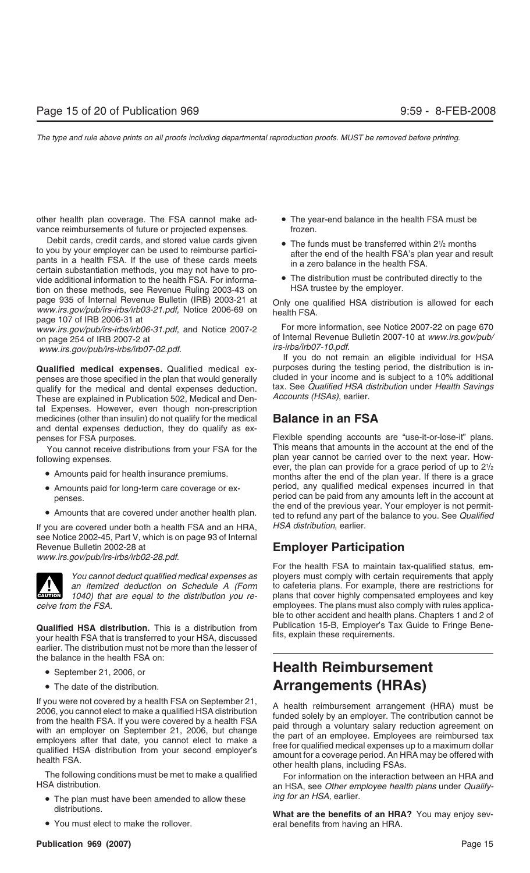other health plan coverage. The FSA cannot make ad- • The year-end balance in the health FSA must be vance reimbursements of future or projected expenses. The frozen.

Debit cards, credit cards, and stored value cards given to you by your employer can be used to reimburse particito you by your employer can be used to reimburse partici-<br>pants in a health FSA. If the use of these cards meets in a zero balance in the health FSA. certain substantiation methods, you may not have to provide additional information to the health FSA. For informa-<br>tion on these methods, see Revenue Buling 2003-43 on HSA trustee by the employer. tion on these methods, see Revenue Ruling 2003-43 on page 935 of Internal Revenue Bulletin (IRB) 2003-21 at Only one qualified HSA distribution is allowed for each *www.irs.gov/pub/irs-irbs/irb03-21.pdf*, Notice 2006-69 on health FSA. page 107 of IRB 2006-31 at

penses are those specified in the plan that would generally cluded in your income and is subject to a 10% additional<br>qualify for the medical and dental expenses deduction tax. See Qualified HSA distribution under Health Sa qualify for the medical and dental expenses deduction. tax. See *Qualified HSA dialitied HSA distribution* 502 Medical and Den-<br>These are explained in Publication 502 Medical and Den-<br>*Accounts (HSAs)*, earlier. These are explained in Publication 502, Medical and Dental Expenses. However, even though non-prescription medicines (other than insulin) do not qualify for the medical **Balance in an FSA** and dental expenses deduction, they do qualify as ex-

- 
- 
- 

If you are covered under both a health FSA and an HRA, HSA distribution, earlier. see Notice 2002-45, Part V, which is on page 93 of Internal Revenue Bulletin 2002-28 at **Employer Participation** *www.irs.gov/pub/irs-irbs/irb02-28.pdf*.



your health FSA that is transferred to your HSA, discussed earlier. The distribution must not be more than the lesser of the balance in the health FSA on:

- 
- 

The following conditions must be met to make a qualified For information on the interaction between an HRA and<br>HSA distribution.<br>An HSA see Other employee health plans under Oualify-

- The plan must have been amended to allow these
- You must elect to make the rollover. eral benefits from having an HRA.
- 
- The funds must be transferred within  $2\frac{1}{2}$  months
- 

*www.irs.gov/pub/irs-irbs/irb06-31.pdf*, and Notice 2007-2 For more information, see Notice 2007-22 on page 670 on page 254 of IRB 2007-2 at<br>www.irs.gov/pub/irs-irbs/irb07-02 pdf **biggerial internal Revenue Bulletin 2007-10** at *www.irs.gov/pub/*<br>irs-irbs/irb07-10.pdf.

*www.irs.gov/pub/irs-irbs/irb07-02.pdf irs-irbs/irb07-10.pdf.* . If you do not remain an eligible individual for HSA **Qualified medical expenses.** Qualified medical ex- purposes during the testing period, the distribution is in-

penses for FSA purposes.<br>
You cannot receive distributions from your ESA for the This means that amounts in the account at the end of the You cannot receive distributions from your FSA for the This means that amounts in the account at the end of the<br>Powing expenses plan year cannot be carried over to the next year. How-<br>ever, the plan can provide for a grace period of up to 2<sup>1/</sup>2 • Amounts paid for health insurance premiums. months after the end of the plan year. If there is a grace • Amounts paid for long-term care coverage or ex-<br>
period, any qualified medical expenses incurred in that penses.<br>
period can be paid from any amounts left in the account at<br>
the end of the previous year. Your employer is not permit-• Amounts that are covered under another health plan. ted to refund any part of the balance to you. See *Qualified* 

For the health FSA to maintain tax-qualified status, em-*You cannot deduct qualified medical expenses as* ployers must comply with certain requirements that apply to cafeteria plans. For example, there are restrictions for 1040) that are equal to the distribution you re-<br>plans that cover highly compensated employees and key *ceive from the FSA.* employees. The plans must also comply with rules applicable to other accident and health plans. Chapters 1 and 2 of **Qualified HSA distribution.** This is a distribution from Publication 15-B, Employer's Tax Guide to Fringe Bene-<br>Vour health ESA that is transferred to your HSA discussed fits, explain these requirements.

# **Health Reimbursement** • September 21, 2006, or • The date of the distribution. **Arrangements (HRAs)**

If you were not covered by a health FSA on September 21,<br>2006, you cannot elect to make a qualified HSA distribution<br>from the health FSA. If you were covered by a health FSA<br>with an employer on September 21, 2006, but chan

an HSA, see *Other employee health plans* under *Qualify-*<br>*ing for an HSA*, earlier.

distributions. **What are the benefits of an HRA?** You may enjoy sev-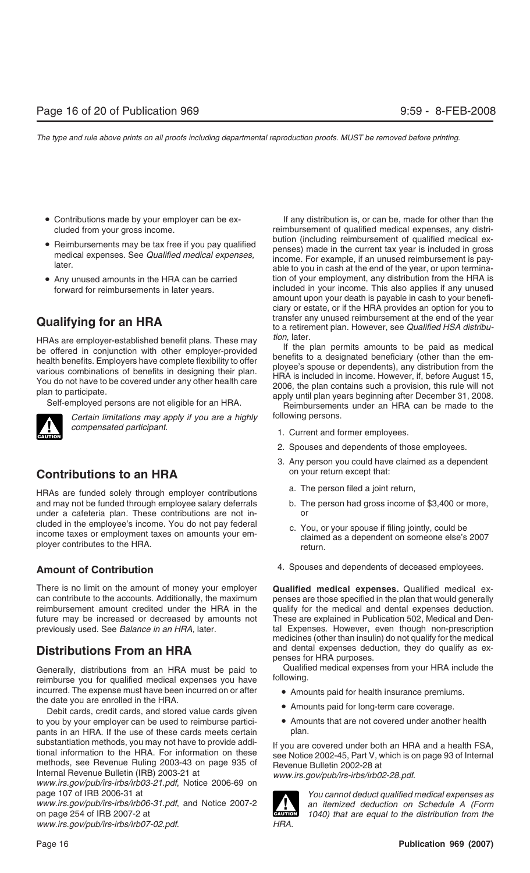- 
- 
- 

HRAs are employer-established benefit plans. These may<br>be offered in conjunction with other employer-provided<br>health benefits. Employers have complete flexibility to offer<br>various combinations of benefits in designing thei



*Certain limitations may apply if you are a highly* following persons. *compensated participant.* 1. Current and former employees.

## **Contributions to an HRA** on your return except that:

HRAs are funded solely through employer contributions a. The person filed a joint return, and may not be funded through employee salary deferrals b. The person had gross income of \$3,400 or more, under a cafeteria plan. These contributions are not in- or c. You, or your spouse if filing jointly, could be income taxes or employment taxes on amounts your em-<br>ployer contributes to the HRA. ployer contributes to the HRA.

There is no limit on the amount of money your employer **Qualified medical expenses.** Qualified medical excan contribute to the accounts. Additionally, the maximum penses are those specified in the plan that would generally reimbursement amount credited under the HRA in the qualify for the medical and dental expenses deduction. future may be increased or decreased by amounts not These are explained in Publication 502, Medical and Denpreviously used. See *Balance in an HRA*, later. The Mall Expenses. However, even though non-prescription

reimburse you for qualified medical expenses you have incurred. The expense must have been incurred on or after <br>the date you are enrolled in the HRA.

bedate you are enrolled in the HRA. • Amounts paid for long-term care coverage.<br>Debit cards, credit cards, and stored value cards given to you by your employer can be used to reimburse partici- • Amounts that are not covered under another health pants in an HRA. If the use of these cards meets certain plan. substantiation methods, you may not have to provide addi-<br>tional information to the HRA. For information on these<br>methods, see Revenue Ruling 2003-43 on page 935 of<br>Internal Revenue Bulletin (IRB) 2003-21 at<br>www.irs.gov/pu

Internal Revenue Bulletin (IRB) 2003-21 at *www.irs.gov/pub/irs-irbs/irb02-28.pdf*. *www.irs.gov/pub/irs-irbs/irb03-21.pdf*, Notice 2006-69 on page 107 of IRB 2006-31 at *You cannot deduct qualified medical expenses as*

*www.irs.gov/pub/irs-irbs/irb06-31.pdf*, and Notice 2007-2 *an itemized deduction on Schedule A (Form* on page 254 of IRB 2007-2 at **CAUTION** *1040) that are equal to the distribution from the*

*www.irs.gov/pub/irs-irbs/irb07-02.pdf*. *HRA.*

• Contributions made by your employer can be ex- If any distribution is, or can be, made for other than the cluded from your gross income. The reimbursement of qualified medical expenses, any distri-• Reimbursements may be tax free if you pay qualified<br>medical expenses) made in the current tax year is included in gross<br>later.<br>later.<br>able to you in cash at the end of the year, or upon termina-• Any unused amounts in the HRA can be carried tion of your employment, any distribution from the HRA is forward for reimbursements in later years. included in your income. This also applies if any unused amount upon your death is payable in cash to your beneficiary or estate, or if the HRA provides an option for you to **Qualifying for an HRA** transfer any unused reimbursement at the end of the year to a retirement plan. However, see *Qualified HSA distribu-*

- 
- 2. Spouses and dependents of those employees.
- 3. Any person you could have claimed as a dependent
	-
	-
	-
- 4. Spouses and dependents of deceased employees. **Amount of Contribution**

medicines (other than insulin) do not qualify for the medical **Distributions From an HRA** and dental expenses deduction, they do qualify as expenses for HRA purposes.

Generally, distributions from an HRA must be paid to Qualified medical expenses from your HRA include the reimburse you for qualified medical expenses you have following.

- 
- 
- 

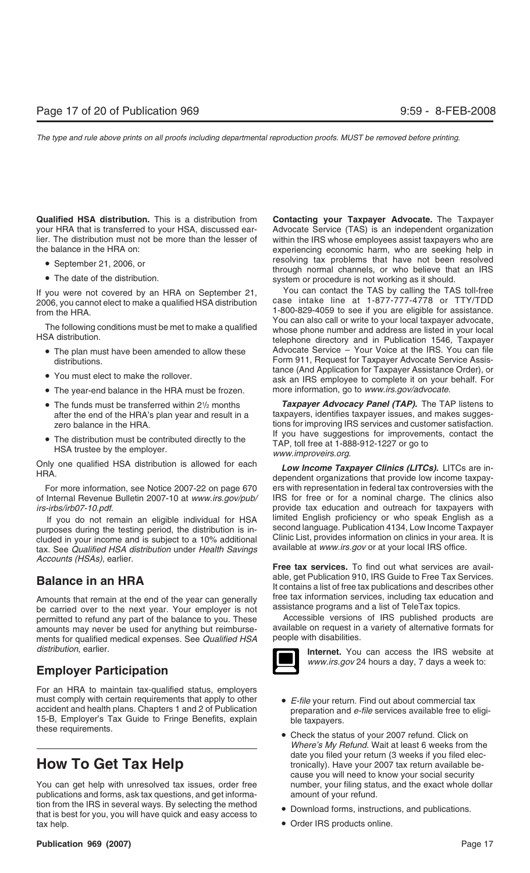**Qualified HSA distribution.** This is a distribution from **Contacting your Taxpayer Advocate.** The Taxpayer your HRA that is transferred to your HSA, discussed ear- Advocate Service (TAS) is an independent organization lier. The distribution must not be more than the lesser of within the IRS whose employees assist taxpayers who are<br>the balance in the HRA on: experiencing economic harm, who are seeking help in

- 
- 

2006, you cannot elect to make a qualified HSA distribution

- 
- 
- The year-end balance in the HRA must be frozen. more information, go to *www.irs.gov/advocate*.
- The funds must be transferred within  $2\frac{1}{2}$  months
- 

Only one qualified HSA distribution is allowed for each *Low Income Taxpayer Clinics (LITCs).* LITCs are in-<br>dependent organizations that provide low income taxpay-

of Internal Revenue Bulletin 2007-10 at *www.irs.gov/pub/* IRS for free or for a nominal charge. The clinics also *irs-irbs/irb07-10.pdf.* provide tax education and outreach for taxpayers with

purposes during the testing period, the distribution is in-<br>cluded in your income and is subject to a 10% additional Clinic List, provides information on clinics in your area. It is cluded in your income and is subject to a 10% additional Clinic List, provides information on clinics in your are<br>Itax, See Qualified HSA distribution under Health Savings available at www.irs.gov or at your local IRS offi tax. See *Qualified HSA distribution* under *Health Savings Accounts (HSAs)*, earlier.

Free tax information services, including tax education and be carried over to the next year. Your employer is not assistance programs and a list of TeleTax topics. be carried over to the next year. Your employer is not ass permitted to refund any part of the balance to you. These Accessible versions of IRS published products are<br>amounts may never be used for anything but reimburse- available on request in a variety of alternative formats for amounts may never be used for anything but reimburse- available on request in ments for qualified medical expenses. See *Qualified HSA* people with disabilities. ments for qualified medical expenses. See *Qualified HSA distribution*, earlier. **Internet.** You can access the IRS website at

### **Employer Participation**

For an HRA to maintain tax-qualified status, employers must comply with certain requirements that apply to other • *E-file* your return. Find out about commercial tax accident and health plans. Chapters 1 and 2 of Publication • preparation and *e-file* services available free accident and health plans. Chapters 1 and 2 of Publication<br>15-B, Employer's Tax Guide to Fringe Benefits, explain<br>these requirements.<br>**•** Check the status of your 2007 refund. Click on

You can get help with unresolved tax issues, order free number, your filing status, and the exact whole dollar publications and forms, ask tax questions, and get informa- amount of your refund. tion from the IRS in several ways. By selecting the method **•** Download forms, instructions, and publications.<br>that is best for you, you will have quick and easy access to **•** Download forms, instructions, and publications tax help. **• Constanting the Constantine Constantine Constantine Constantine Order IRS products online.** 

experiencing economic harm, who are seeking help in • September 21, 2006, or the entity of the september 21, 2006, or through normal channels, or who believe that an IRS<br>• The date of the distribution. The date of the distribution. system or procedure is not working as it should.

If you were not covered by an HRA on September 21,<br>2006 you cannot elect to make a qualified HSA distribution case intake line at 1-877-777-4778 or TTY/TDD 1-800-829-4059 to see if you are eligible for assistance.<br>You can also call or write to your local taxpayer advocate, The following conditions must be met to make a qualified<br>HSA distribution.<br>HSA distribution. elements must be met to make a qualified<br>telephone directory and in Publication 1546, Taxpayer • The plan must have been amended to allow these Advocate Service – Your Voice at the IRS. You can file distributions.<br>
Form 911, Request for Taxpayer Advocate Service Assis-<br>
tance (And Application for Taxpayer Assistance Order), or • You must elect to make the rollover.<br>ask an IRS employee to complete it on your behalf. For

**Taxpayer Advocacy Panel (TAP).** The TAP listens to after the end of the HRA's plan year and result in a taxpayers, identifies taxpayer issues, and makes suggeszero balance in the HRA. The same services and customer satisfaction. If you have suggestions for improvements, contact the • The distribution must be contributed directly to the TAP, toll free at 1-888-912-1227 or go to HSA trustee by the employer. *www.improveirs.org*.

For more information, see Notice 2007-22 on page 670 ers with representation in federal tax controversies with the If you do not remain an eligible individual for HSA blimited English proficiency or who speak English as a<br>rnoses during the testing period, the distribution is in- second language. Publication 4134, Low Income Taxpayer

**Free tax services.** To find out what services are avail-**Balance in an HRA In an HRA** It contains a list of free tax publications and describes other in the U.S. It contains a list of free tax publications and describes other



*www.irs.gov* 24 hours a day, 7 days a week to:

- 
- *Where's My Refund*. Wait at least 6 weeks from the date you filed your return (3 weeks if you filed elec-<br> **How To Get Tax Help** tronically). Have your 2007 tax return available because you will need to know your social security
	-
	-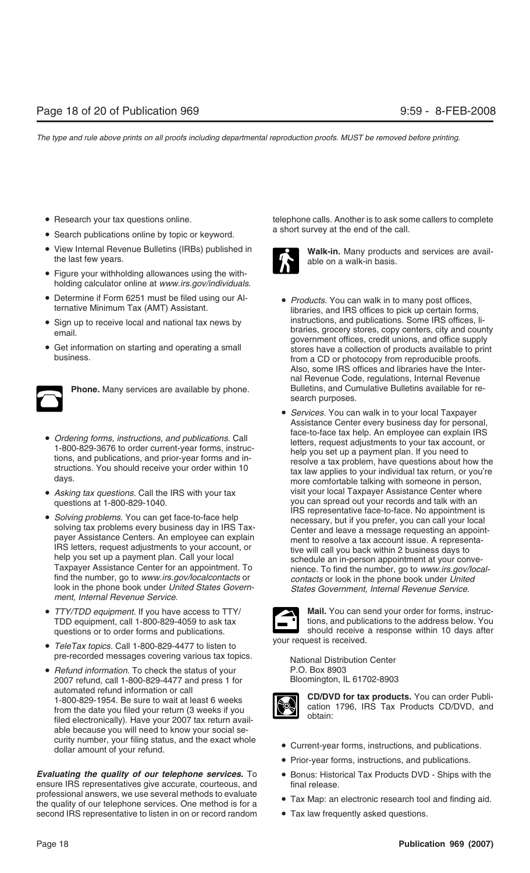- 
- Search publications online by topic or keyword.
- View Internal Revenue Bulletins (IRBs) published in **Walk-in.** Many products and services are avail-<br>the last few years. **able on a walk-in basis.**
- Figure your withholding allowances using the withholding calculator online at *www.irs.gov/individuals*.
- 
- 
- 



- 
- 
- look in the phone book under *United States Govern- States Government, Internal Revenue Service*. *ment, Internal Revenue Service*.
- questions or to order forms and publications. should receive a response with receiver a response with the response with the response with the response with the response with the response with the response with the response
- *TeleTax topics.* Call 1-800-829-4477 to listen to pre-recorded messages covering various tax topics. National Distribution Center
- *Refund information.* To check the status of your P.O. Box 8903<br>2007 refund, call 1-800-829-4477 and press 1 for Bloomington, IL 61702-8903 2007 refund, call 1-800-829-4477 and press 1 for automated refund information or call<br>1-800-829-1954. Be sure to wait at least 6 weeks<br>from the date you filed your return (3 weeks if you<br>filed electronically). Have your 2007 tax return avail-<br>all the strain: able because you will need to know your social security number, your filing status, and the exact whole • Current-year forms, instructions, and publications. dollar amount of your refund.

*Evaluating the quality of our telephone services.* To • Bonus: Historical Tax Products DVD - Ships with the ensure IRS representatives give accurate, courteous, and final release. professional answers, we use several methods to evaluate • Tax Map: an electronic research tool and finding aid.<br>the quality of our telephone services. One method is for a second IRS representative to listen in on or record random • Tax law frequently asked questions.

• Research your tax questions online.<br>
a short survey at the end of the call.<br>
a short survey at the end of the call.



- Determine if Form 6251 must be filed using our Al-<br>
ternative Minimum Tax (AMT) Assistant.<br>
 *Products.* You can walk in to many post offices, internative Minimum Tax (AMT) Assistant.<br>
 Sign up to receive local and pat • Sign up to receive local and national tax news by brariuctions, and publications. Some IRS offices, il-<br>braries, grocery stores, copy centers, city and county<br>government offices, credit unions, and office supply • Get information on starting and operating a small stores have a collection of products available to print business. from a CD or photocopy from reproducible proofs. Also, some IRS offices and libraries have the Internal Revenue Code, regulations, Internal Revenue **Phone.** Many services are available by phone. Bulletins, and Cumulative Bulletins available for research purposes.
- *Services.* You can walk in to your local Taxpayer Assistance Center every business day for personal, • Ordering forms, instructions, and publications. Call 1-800-829-3676 to order current-year forms, instruc-<br>1-800-829-3676 to order current-year forms, instruc-<br>tions, and publications, and prior-year forms and in-<br>structi • Asking tax questions. Call the IRS with your tax visit your local Taxpayer Assistance Center where questions at 1-800-829-1040.<br>IRS representative face-to-face. No appointment is • Solving problems. You can get face-to-face help<br>solving tax problems every business day in IRS Tax-<br>payer Assistance Centers. An employee can explain<br>IRS letters, request adjustments to your account, or<br>help you set up a

• *TTY/TDD equipment.* If you have access to TTY/ **Mail.** You can send your order for forms, instruc-TDD equipment, call 1-800-829-4059 to ask tax tions, and publications to the address below. You<br>questions or to order forms and publications.



- 
- Prior-year forms, instructions, and publications.
- 
- 
-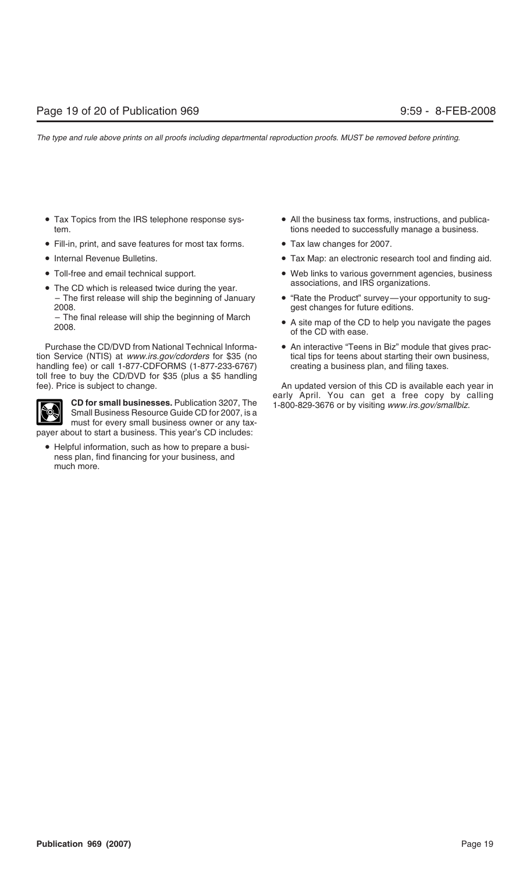- 
- Fill-in, print, and save features for most tax forms. Tax law changes for 2007.
- 
- 
- The CD which is released twice during the year.<br>- The first release will ship the beginning of January "Rate the Product" survey—your opportunity to sug-– The first release will ship the beginning of January 2008. gest changes for future editions.

Purchase the CD/DVD from National Technical Informa- • An interactive "Teens in Biz" module that gives praction Service (NTIS) at *www.irs.gov/cdorders* for \$35 (no tical tips for teens about starting their own business, handling fee) or call 1-877-CDFORMS (1-877-233-6767) creating a business plan, and filing taxes. toll free to buy the CD/DVD for \$35 (plus a \$5 handling fee). Price is subject to change. An updated version of this CD is available each year in



must for every small business owner or any tax-

- payer about to start a business. This year's CD includes:
	- Helpful information, such as how to prepare a business plan, find financing for your business, and much more.
- Tax Topics from the IRS telephone response sys-<br>• All the business tax forms, instructions, and publicatem. tions needed to successfully manage a business.
	-
- Internal Revenue Bulletins. Tax Map: an electronic research tool and finding aid.
- Toll-free and email technical support. Web links to various government agencies, business<br>
associations, and IRS organizations.
	-
	- The final release will ship the beginning of March A site map of the CD to help you navigate the pages 2008.
		-

early April. You can get a free copy by calling<br>**CD for small businesses.** Publication 3207, The 1-800-829-3676 or by visiting *www.irs.gov/smallbiz.*<br>Small Business Resource Guide CD for 2007, is a